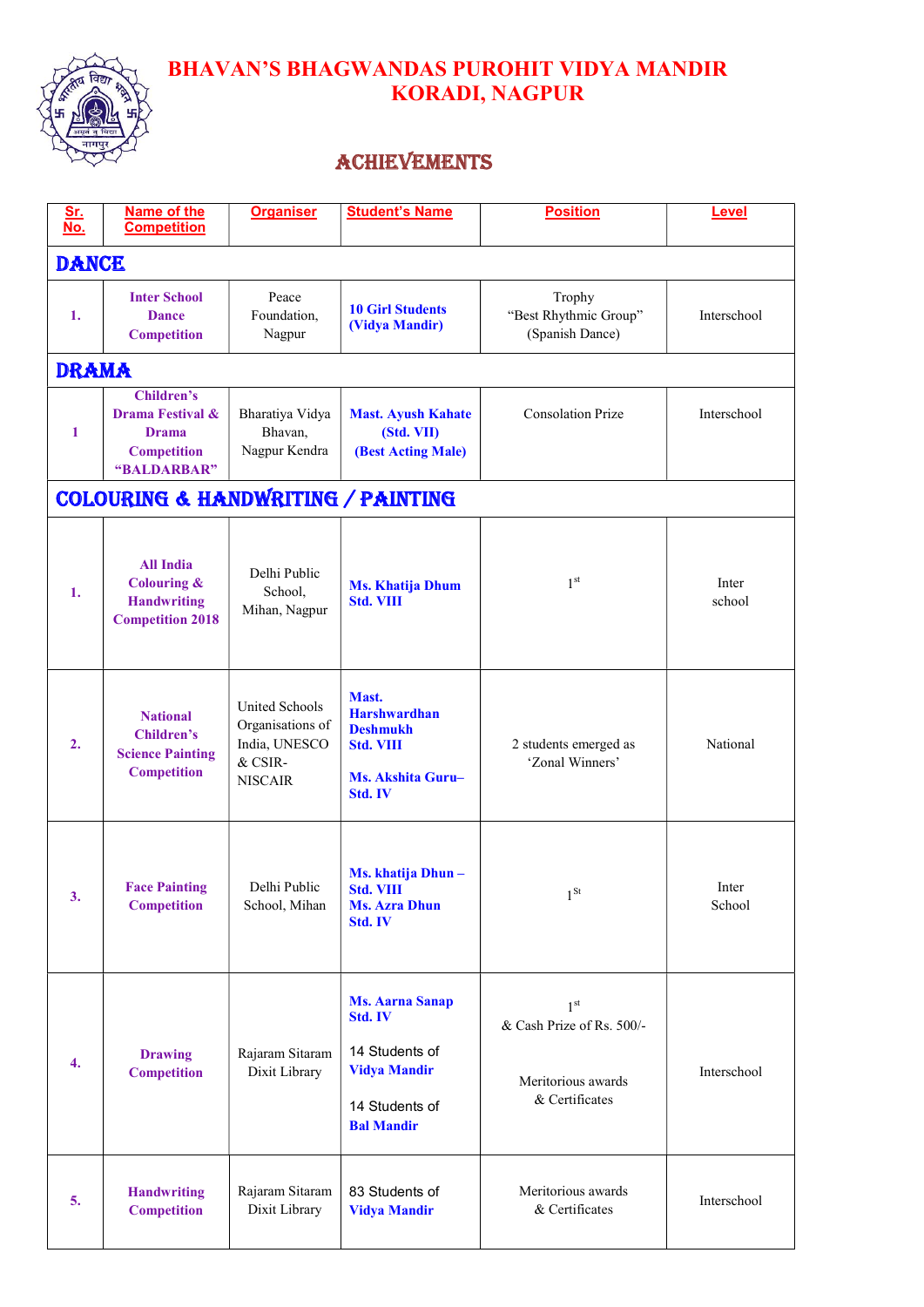

## BHAVAN'S BHAGWANDAS PUROHIT VIDYA MANDIR KORADI, NAGPUR

## **ACHIEVEMENTS**

| Sr.<br><u>No.</u> | Name of the<br><b>Competition</b>                                                           | <b>Organiser</b>                                                                 | <b>Student's Name</b>                                                                                             | <b>Position</b>                                                                      | Level           |  |  |  |  |
|-------------------|---------------------------------------------------------------------------------------------|----------------------------------------------------------------------------------|-------------------------------------------------------------------------------------------------------------------|--------------------------------------------------------------------------------------|-----------------|--|--|--|--|
| <b>DANCE</b>      |                                                                                             |                                                                                  |                                                                                                                   |                                                                                      |                 |  |  |  |  |
| 1.                | <b>Inter School</b><br><b>Dance</b><br><b>Competition</b>                                   | Peace<br>Foundation,<br>Nagpur                                                   | <b>10 Girl Students</b><br>(Vidya Mandir)                                                                         | Trophy<br>"Best Rhythmic Group"<br>(Spanish Dance)                                   | Interschool     |  |  |  |  |
| <b>DRAMA</b>      |                                                                                             |                                                                                  |                                                                                                                   |                                                                                      |                 |  |  |  |  |
| 1                 | <b>Children's</b><br>Drama Festival &<br><b>Drama</b><br><b>Competition</b><br>"BALDARBAR"  | Bharatiya Vidya<br>Bhavan,<br>Nagpur Kendra                                      | <b>Mast. Ayush Kahate</b><br>(Std. VII)<br>(Best Acting Male)                                                     | <b>Consolation Prize</b>                                                             | Interschool     |  |  |  |  |
|                   | <b>COLOURING &amp; HANDWRITING / PAINTING</b>                                               |                                                                                  |                                                                                                                   |                                                                                      |                 |  |  |  |  |
| 1.                | <b>All India</b><br><b>Colouring &amp;</b><br><b>Handwriting</b><br><b>Competition 2018</b> | Delhi Public<br>School,<br>Mihan, Nagpur                                         | <b>Ms. Khatija Dhum</b><br><b>Std. VIII</b>                                                                       | 1 <sup>st</sup>                                                                      | Inter<br>school |  |  |  |  |
| 2.                | <b>National</b><br><b>Children's</b><br><b>Science Painting</b><br><b>Competition</b>       | United Schools<br>Organisations of<br>India, UNESCO<br>& CSIR-<br><b>NISCAIR</b> | Mast.<br><b>Harshwardhan</b><br><b>Deshmukh</b><br><b>Std. VIII</b><br><b>Ms. Akshita Guru-</b><br><b>Std. IV</b> | 2 students emerged as<br>'Zonal Winners'                                             | National        |  |  |  |  |
| 3.                | <b>Face Painting</b><br><b>Competition</b>                                                  | Delhi Public<br>School, Mihan                                                    | Ms. khatija Dhun-<br>Std. VIII<br><b>Ms. Azra Dhun</b><br>Std. IV                                                 | $1^{\rm St}$                                                                         | Inter<br>School |  |  |  |  |
| $\overline{4}$ .  | <b>Drawing</b><br><b>Competition</b>                                                        | Rajaram Sitaram<br>Dixit Library                                                 | <b>Ms. Aarna Sanap</b><br>Std. IV<br>14 Students of<br><b>Vidya Mandir</b><br>14 Students of<br><b>Bal Mandir</b> | 1 <sup>st</sup><br>& Cash Prize of Rs. 500/-<br>Meritorious awards<br>& Certificates | Interschool     |  |  |  |  |
| 5.                | <b>Handwriting</b><br><b>Competition</b>                                                    | Rajaram Sitaram<br>Dixit Library                                                 | 83 Students of<br><b>Vidya Mandir</b>                                                                             | Meritorious awards<br>& Certificates                                                 | Interschool     |  |  |  |  |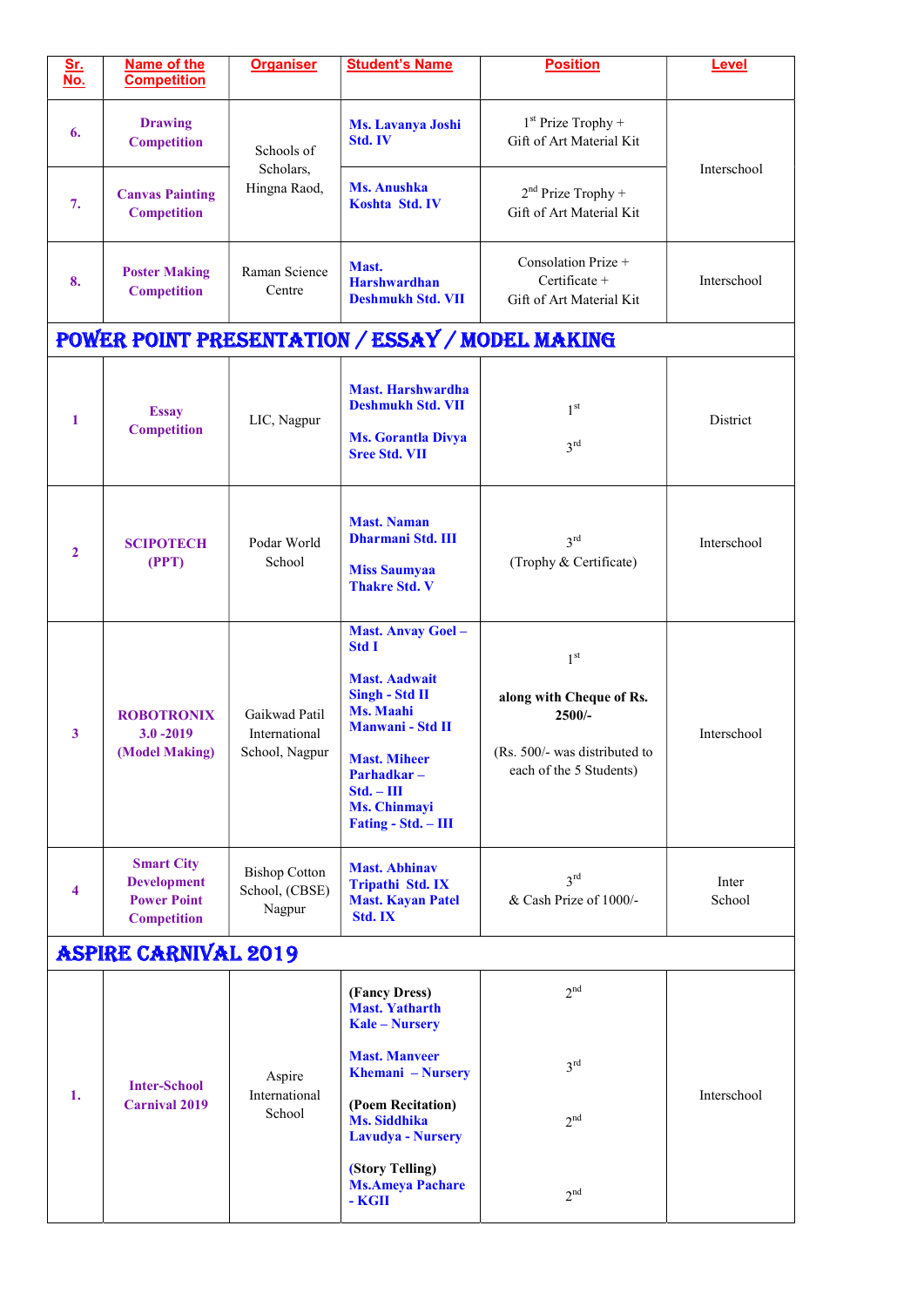| Sr.<br>No.     | Name of the<br><b>Competition</b>                                                   | <b>Organiser</b>                                 | <b>Student's Name</b>                                                                                                                                                                                                   | <b>Position</b>                                                                                                   | Level           |  |  |  |
|----------------|-------------------------------------------------------------------------------------|--------------------------------------------------|-------------------------------------------------------------------------------------------------------------------------------------------------------------------------------------------------------------------------|-------------------------------------------------------------------------------------------------------------------|-----------------|--|--|--|
| 6.             | <b>Drawing</b><br><b>Competition</b>                                                | Schools of<br>Scholars,<br>Hingna Raod,          | Ms. Lavanya Joshi<br>Std. IV                                                                                                                                                                                            | $1st$ Prize Trophy +<br>Gift of Art Material Kit                                                                  |                 |  |  |  |
| 7.             | <b>Canvas Painting</b><br><b>Competition</b>                                        |                                                  | <b>Ms. Anushka</b><br><b>Koshta Std. IV</b>                                                                                                                                                                             | $2nd$ Prize Trophy +<br>Gift of Art Material Kit                                                                  | Interschool     |  |  |  |
| 8.             | <b>Poster Making</b><br><b>Competition</b>                                          | Raman Science<br>Centre                          | Mast.<br><b>Harshwardhan</b><br><b>Deshmukh Std. VII</b>                                                                                                                                                                | Consolation Prize +<br>Certificate +<br>Gift of Art Material Kit                                                  | Interschool     |  |  |  |
|                |                                                                                     |                                                  | POWER POINT PRESENTATION / ESSAY / MODEL MAKING                                                                                                                                                                         |                                                                                                                   |                 |  |  |  |
| 1              | <b>Essay</b><br><b>Competition</b>                                                  | LIC, Nagpur                                      | <b>Mast. Harshwardha</b><br><b>Deshmukh Std. VII</b><br><b>Ms. Gorantla Divya</b><br><b>Sree Std. VII</b>                                                                                                               | 1 <sup>st</sup><br>3 <sup>rd</sup>                                                                                | <b>District</b> |  |  |  |
| $\overline{2}$ | <b>SCIPOTECH</b><br>(PPT)                                                           | Podar World<br>School                            | <b>Mast. Naman</b><br><b>Dharmani Std. III</b><br><b>Miss Saumyaa</b><br><b>Thakre Std. V</b>                                                                                                                           | 3 <sup>rd</sup><br>(Trophy & Certificate)                                                                         | Interschool     |  |  |  |
| $\mathbf{3}$   | <b>ROBOTRONIX</b><br>$3.0 - 2019$<br>(Model Making)                                 | Gaikwad Patil<br>International<br>School, Nagpur | <b>Mast. Anvay Goel -</b><br><b>Std I</b><br><b>Mast. Aadwait</b><br>Singh - Std II<br>Ms. Maahi<br>Manwani - Std II<br><b>Mast. Miheer</b><br>Parhadkar-<br>$Std. - III$<br><b>Ms. Chinmayi</b><br>Fating - Std. - III | 1 <sup>st</sup><br>along with Cheque of Rs.<br>2500/-<br>(Rs. 500/- was distributed to<br>each of the 5 Students) | Interschool     |  |  |  |
| 4              | <b>Smart City</b><br><b>Development</b><br><b>Power Point</b><br><b>Competition</b> | <b>Bishop Cotton</b><br>School, (CBSE)<br>Nagpur | <b>Mast. Abhinav</b><br><b>Tripathi Std. IX</b><br><b>Mast. Kayan Patel</b><br>Std. IX                                                                                                                                  | $3^{\text{rd}}$<br>& Cash Prize of 1000/-                                                                         | Inter<br>School |  |  |  |
|                | <b>ASPIRE CARNIVAL 2019</b>                                                         |                                                  |                                                                                                                                                                                                                         |                                                                                                                   |                 |  |  |  |
| 1.             | <b>Inter-School</b><br><b>Carnival 2019</b>                                         | Aspire<br>International<br>School                | (Fancy Dress)<br><b>Mast. Yatharth</b><br><b>Kale</b> – Nursery                                                                                                                                                         | 2 <sub>nd</sub>                                                                                                   | Interschool     |  |  |  |
|                |                                                                                     |                                                  | <b>Mast. Manveer</b><br>Khemani - Nursery                                                                                                                                                                               | 3 <sup>rd</sup>                                                                                                   |                 |  |  |  |
|                |                                                                                     |                                                  | (Poem Recitation)<br>Ms. Siddhika<br><b>Lavudya - Nursery</b>                                                                                                                                                           | 2 <sub>nd</sub>                                                                                                   |                 |  |  |  |
|                |                                                                                     |                                                  | (Story Telling)<br><b>Ms.Ameya Pachare</b><br>- KGII                                                                                                                                                                    | 2 <sub>nd</sub>                                                                                                   |                 |  |  |  |